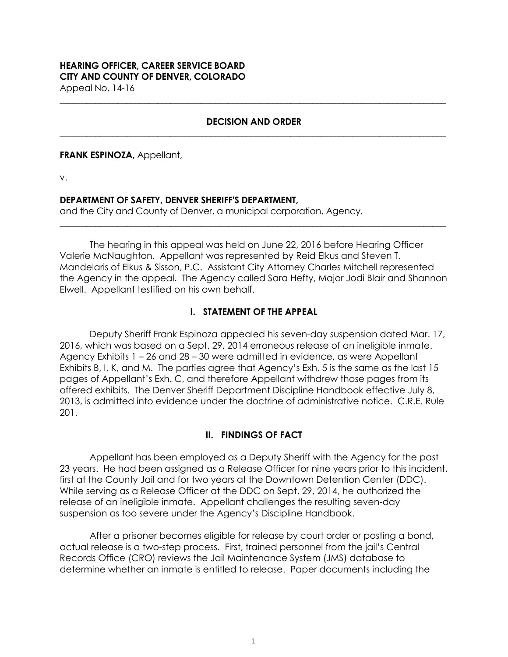# **HEARING OFFICER, CAREER SERVICE BOARD CITY AND COUNTY OF DENVER, COLORADO** Appeal No. 14-16

## **DECISION AND ORDER \_\_\_\_\_\_\_\_\_\_\_\_\_\_\_\_\_\_\_\_\_\_\_\_\_\_\_\_\_\_\_\_\_\_\_\_\_\_\_\_\_\_\_\_\_\_\_\_\_\_\_\_\_\_\_\_\_\_\_\_\_\_\_\_\_\_\_\_\_\_\_\_\_\_\_\_\_\_\_\_\_\_\_\_\_\_\_**

**\_\_\_\_\_\_\_\_\_\_\_\_\_\_\_\_\_\_\_\_\_\_\_\_\_\_\_\_\_\_\_\_\_\_\_\_\_\_\_\_\_\_\_\_\_\_\_\_\_\_\_\_\_\_\_\_\_\_\_\_\_\_\_\_\_\_\_\_\_\_\_\_\_\_\_\_\_\_\_\_\_\_\_\_\_\_\_**

#### **FRANK ESPINOZA,** Appellant,

v.

## **DEPARTMENT OF SAFETY, DENVER SHERIFF'S DEPARTMENT,**

and the City and County of Denver, a municipal corporation, Agency.

The hearing in this appeal was held on June 22, 2016 before Hearing Officer Valerie McNaughton. Appellant was represented by Reid Elkus and Steven T. Mandelaris of Elkus & Sisson, P.C. Assistant City Attorney Charles Mitchell represented the Agency in the appeal. The Agency called Sara Hefty, Major Jodi Blair and Shannon Elwell. Appellant testified on his own behalf.

**\_\_\_\_\_\_\_\_\_\_\_\_\_\_\_\_\_\_\_\_\_\_\_\_\_\_\_\_\_\_\_\_\_\_\_\_\_\_\_\_\_\_\_\_\_\_\_\_\_\_\_\_\_\_\_\_\_\_\_\_\_\_\_\_\_\_\_\_\_\_\_\_\_\_\_\_\_\_\_\_\_\_\_\_\_\_\_**

# **I. STATEMENT OF THE APPEAL**

Deputy Sheriff Frank Espinoza appealed his seven-day suspension dated Mar. 17, 2016, which was based on a Sept. 29, 2014 erroneous release of an ineligible inmate. Agency Exhibits 1 – 26 and 28 – 30 were admitted in evidence, as were Appellant Exhibits B, I, K, and M. The parties agree that Agency's Exh. 5 is the same as the last 15 pages of Appellant's Exh. C, and therefore Appellant withdrew those pages from its offered exhibits. The Denver Sheriff Department Discipline Handbook effective July 8, 2013, is admitted into evidence under the doctrine of administrative notice. C.R.E. Rule 201.

# **II. FINDINGS OF FACT**

Appellant has been employed as a Deputy Sheriff with the Agency for the past 23 years. He had been assigned as a Release Officer for nine years prior to this incident, first at the County Jail and for two years at the Downtown Detention Center (DDC). While serving as a Release Officer at the DDC on Sept. 29, 2014, he authorized the release of an ineligible inmate. Appellant challenges the resulting seven-day suspension as too severe under the Agency's Discipline Handbook.

After a prisoner becomes eligible for release by court order or posting a bond, actual release is a two-step process. First, trained personnel from the jail's Central Records Office (CRO) reviews the Jail Maintenance System (JMS) database to determine whether an inmate is entitled to release. Paper documents including the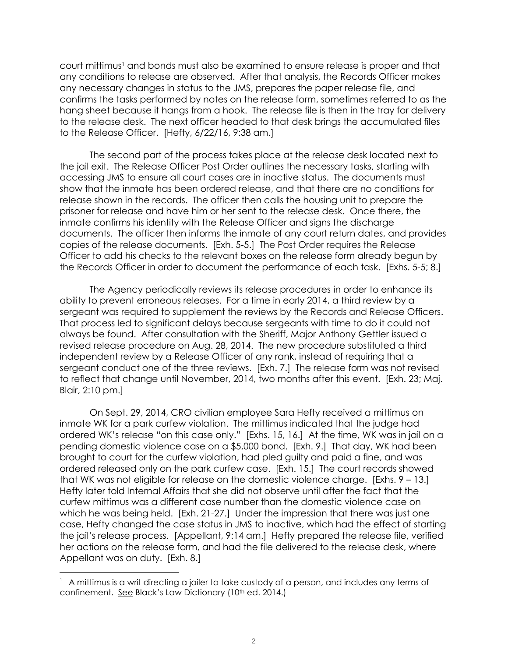court mittimus<sup>1</sup> and bonds must also be examined to ensure release is proper and that any conditions to release are observed. After that analysis, the Records Officer makes any necessary changes in status to the JMS, prepares the paper release file, and confirms the tasks performed by notes on the release form, sometimes referred to as the hang sheet because it hangs from a hook. The release file is then in the tray for delivery to the release desk. The next officer headed to that desk brings the accumulated files to the Release Officer. [Hefty, 6/22/16, 9:38 am.]

The second part of the process takes place at the release desk located next to the jail exit. The Release Officer Post Order outlines the necessary tasks, starting with accessing JMS to ensure all court cases are in inactive status. The documents must show that the inmate has been ordered release, and that there are no conditions for release shown in the records. The officer then calls the housing unit to prepare the prisoner for release and have him or her sent to the release desk. Once there, the inmate confirms his identity with the Release Officer and signs the discharge documents. The officer then informs the inmate of any court return dates, and provides copies of the release documents. [Exh. 5-5.] The Post Order requires the Release Officer to add his checks to the relevant boxes on the release form already begun by the Records Officer in order to document the performance of each task. [Exhs. 5-5; 8.]

The Agency periodically reviews its release procedures in order to enhance its ability to prevent erroneous releases. For a time in early 2014, a third review by a sergeant was required to supplement the reviews by the Records and Release Officers. That process led to significant delays because sergeants with time to do it could not always be found. After consultation with the Sheriff, Major Anthony Gettler issued a revised release procedure on Aug. 28, 2014. The new procedure substituted a third independent review by a Release Officer of any rank, instead of requiring that a sergeant conduct one of the three reviews. [Exh. 7.] The release form was not revised to reflect that change until November, 2014, two months after this event. [Exh. 23; Maj. Blair, 2:10 pm.]

On Sept. 29, 2014, CRO civilian employee Sara Hefty received a mittimus on inmate WK for a park curfew violation. The mittimus indicated that the judge had ordered WK's release "on this case only." [Exhs. 15, 16.] At the time, WK was in jail on a pending domestic violence case on a \$5,000 bond. [Exh. 9.] That day, WK had been brought to court for the curfew violation, had pled guilty and paid a fine, and was ordered released only on the park curfew case. [Exh. 15.] The court records showed that WK was not eligible for release on the domestic violence charge. [Exhs. 9 – 13.] Hefty later told Internal Affairs that she did not observe until after the fact that the curfew mittimus was a different case number than the domestic violence case on which he was being held. [Exh. 21-27.] Under the impression that there was just one case, Hefty changed the case status in JMS to inactive, which had the effect of starting the jail's release process. [Appellant, 9:14 am.] Hefty prepared the release file, verified her actions on the release form, and had the file delivered to the release desk, where Appellant was on duty. [Exh. 8.]

e<br>S

<sup>1</sup> A mittimus is a writ directing a jailer to take custody of a person, and includes any terms of confinement. See Black's Law Dictionary (10<sup>th</sup> ed. 2014.)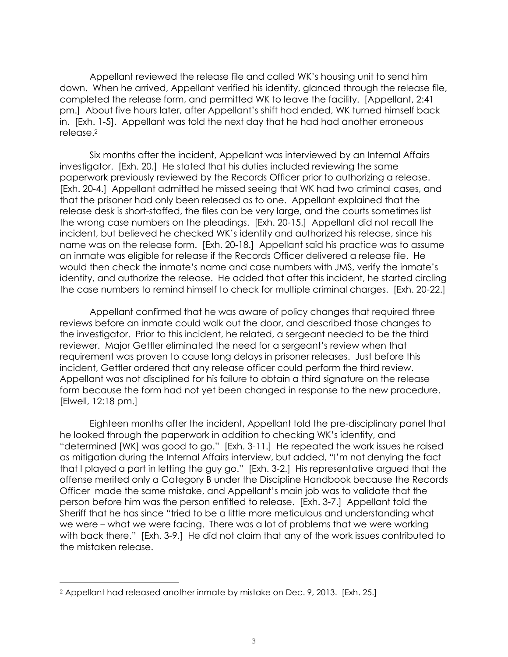Appellant reviewed the release file and called WK's housing unit to send him down. When he arrived, Appellant verified his identity, glanced through the release file, completed the release form, and permitted WK to leave the facility. [Appellant, 2:41 pm.] About five hours later, after Appellant's shift had ended, WK turned himself back in. [Exh. 1-5]. Appellant was told the next day that he had had another erroneous release.<sup>2</sup>

Six months after the incident, Appellant was interviewed by an Internal Affairs investigator. [Exh. 20.] He stated that his duties included reviewing the same paperwork previously reviewed by the Records Officer prior to authorizing a release. [Exh. 20-4.] Appellant admitted he missed seeing that WK had two criminal cases, and that the prisoner had only been released as to one. Appellant explained that the release desk is short-staffed, the files can be very large, and the courts sometimes list the wrong case numbers on the pleadings. [Exh. 20-15.] Appellant did not recall the incident, but believed he checked WK's identity and authorized his release, since his name was on the release form. [Exh. 20-18.] Appellant said his practice was to assume an inmate was eligible for release if the Records Officer delivered a release file. He would then check the inmate's name and case numbers with JMS, verify the inmate's identity, and authorize the release. He added that after this incident, he started circling the case numbers to remind himself to check for multiple criminal charges. [Exh. 20-22.]

Appellant confirmed that he was aware of policy changes that required three reviews before an inmate could walk out the door, and described those changes to the investigator. Prior to this incident, he related, a sergeant needed to be the third reviewer. Major Gettler eliminated the need for a sergeant's review when that requirement was proven to cause long delays in prisoner releases. Just before this incident, Gettler ordered that any release officer could perform the third review. Appellant was not disciplined for his failure to obtain a third signature on the release form because the form had not yet been changed in response to the new procedure. [Elwell, 12:18 pm.]

Eighteen months after the incident, Appellant told the pre-disciplinary panel that he looked through the paperwork in addition to checking WK's identity, and "determined [WK] was good to go." [Exh. 3-11.] He repeated the work issues he raised as mitigation during the Internal Affairs interview, but added, "I'm not denying the fact that I played a part in letting the guy go." [Exh. 3-2.] His representative argued that the offense merited only a Category B under the Discipline Handbook because the Records Officer made the same mistake, and Appellant's main job was to validate that the person before him was the person entitled to release. [Exh. 3-7.] Appellant told the Sheriff that he has since "tried to be a little more meticulous and understanding what we were – what we were facing. There was a lot of problems that we were working with back there." [Exh. 3-9.] He did not claim that any of the work issues contributed to the mistaken release.

e<br>S

<sup>2</sup> Appellant had released another inmate by mistake on Dec. 9, 2013. [Exh. 25.]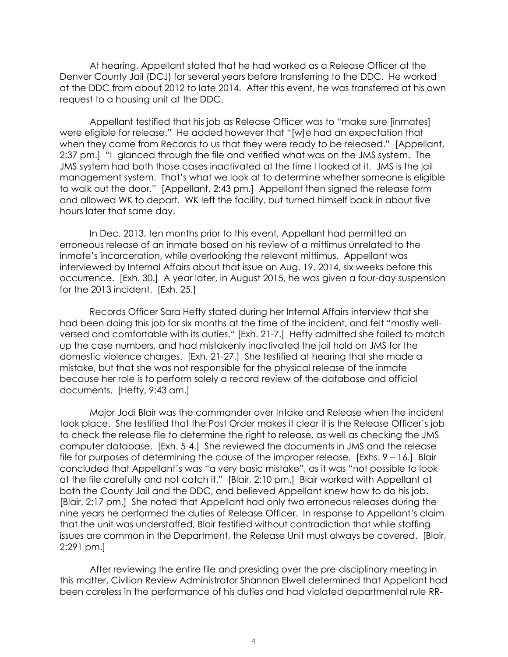At hearing, Appellant stated that he had worked as a Release Officer at the Denver County Jail (DCJ) for several years before transferring to the DDC. He worked at the DDC from about 2012 to late 2014. After this event, he was transferred at his own request to a housing unit at the DDC.

Appellant testified that his job as Release Officer was to "make sure [inmates] were eligible for release." He added however that "[w]e had an expectation that when they came from Records to us that they were ready to be released." [Appellant, 2:37 pm.] "I glanced through the file and verified what was on the JMS system. The JMS system had both those cases inactivated at the time I looked at it. JMS is the jail management system. That's what we look at to determine whether someone is eligible to walk out the door." [Appellant, 2:43 pm.] Appellant then signed the release form and allowed WK to depart. WK left the facility, but turned himself back in about five hours later that same day.

In Dec. 2013, ten months prior to this event, Appellant had permitted an erroneous release of an inmate based on his review of a mittimus unrelated to the inmate's incarceration, while overlooking the relevant mittimus. Appellant was interviewed by Internal Affairs about that issue on Aug. 19, 2014, six weeks before this occurrence. [Exh. 30.] A year later, in August 2015, he was given a four-day suspension for the 2013 incident. [Exh. 25.]

Records Officer Sara Hefty stated during her Internal Affairs interview that she had been doing this job for six months at the time of the incident, and felt "mostly wellversed and comfortable with its duties." [Exh. 21-7.] Hefty admitted she failed to match up the case numbers, and had mistakenly inactivated the jail hold on JMS for the domestic violence charges. [Exh. 21-27.] She testified at hearing that she made a mistake, but that she was not responsible for the physical release of the inmate because her role is to perform solely a record review of the database and official documents. [Hefty, 9:43 am.]

Major Jodi Blair was the commander over Intake and Release when the incident took place. She testified that the Post Order makes it clear it is the Release Officer's job to check the release file to determine the right to release, as well as checking the JMS computer database. [Exh. 5-4.] She reviewed the documents in JMS and the release file for purposes of determining the cause of the improper release. [Exhs. 9 – 16.] Blair concluded that Appellant's was "a very basic mistake", as it was "not possible to look at the file carefully and not catch it." [Blair, 2:10 pm.] Blair worked with Appellant at both the County Jail and the DDC, and believed Appellant knew how to do his job. [Blair, 2:17 pm.] She noted that Appellant had only two erroneous releases during the nine years he performed the duties of Release Officer. In response to Appellant's claim that the unit was understaffed, Blair testified without contradiction that while staffing issues are common in the Department, the Release Unit must always be covered. [Blair, 2:291 pm.]

After reviewing the entire file and presiding over the pre-disciplinary meeting in this matter, Civilian Review Administrator Shannon Elwell determined that Appellant had been careless in the performance of his duties and had violated departmental rule RR-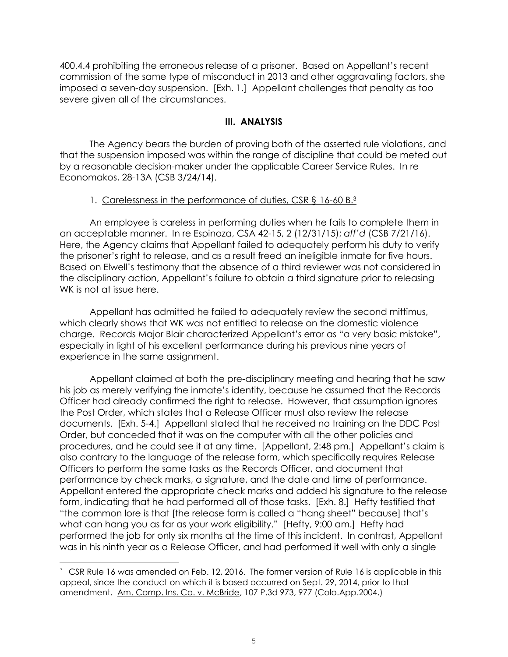400.4.4 prohibiting the erroneous release of a prisoner. Based on Appellant's recent commission of the same type of misconduct in 2013 and other aggravating factors, she imposed a seven-day suspension. [Exh. 1.] Appellant challenges that penalty as too severe given all of the circumstances.

## **III. ANALYSIS**

The Agency bears the burden of proving both of the asserted rule violations, and that the suspension imposed was within the range of discipline that could be meted out by a reasonable decision-maker under the applicable Career Service Rules. In re Economakos, 28-13A (CSB 3/24/14).

# 1. Carelessness in the performance of duties, CSR § 16-60 B.<sup>3</sup>

An employee is careless in performing duties when he fails to complete them in an acceptable manner. In re Espinoza, CSA 42-15, 2 (12/31/15); *aff'd* (CSB 7/21/16). Here, the Agency claims that Appellant failed to adequately perform his duty to verify the prisoner's right to release, and as a result freed an ineligible inmate for five hours. Based on Elwell's testimony that the absence of a third reviewer was not considered in the disciplinary action, Appellant's failure to obtain a third signature prior to releasing WK is not at issue here.

Appellant has admitted he failed to adequately review the second mittimus, which clearly shows that WK was not entitled to release on the domestic violence charge. Records Major Blair characterized Appellant's error as "a very basic mistake", especially in light of his excellent performance during his previous nine years of experience in the same assignment.

Appellant claimed at both the pre-disciplinary meeting and hearing that he saw his job as merely verifying the inmate's identity, because he assumed that the Records Officer had already confirmed the right to release. However, that assumption ignores the Post Order, which states that a Release Officer must also review the release documents. [Exh. 5-4.] Appellant stated that he received no training on the DDC Post Order, but conceded that it was on the computer with all the other policies and procedures, and he could see it at any time. [Appellant, 2:48 pm.] Appellant's claim is also contrary to the language of the release form, which specifically requires Release Officers to perform the same tasks as the Records Officer, and document that performance by check marks, a signature, and the date and time of performance. Appellant entered the appropriate check marks and added his signature to the release form, indicating that he had performed all of those tasks. [Exh. 8.] Hefty testified that "the common lore is that [the release form is called a "hang sheet" because] that's what can hang you as far as your work eligibility." [Hefty, 9:00 am.] Hefty had performed the job for only six months at the time of this incident. In contrast, Appellant was in his ninth year as a Release Officer, and had performed it well with only a single

e<br>S

 $3\degree$  CSR Rule 16 was amended on Feb. 12, 2016. The former version of Rule 16 is applicable in this appeal, since the conduct on which it is based occurred on Sept. 29, 2014, prior to that amendment. Am. Comp. Ins. Co. v. McBride, 107 P.3d 973, 977 (Colo.App.2004.)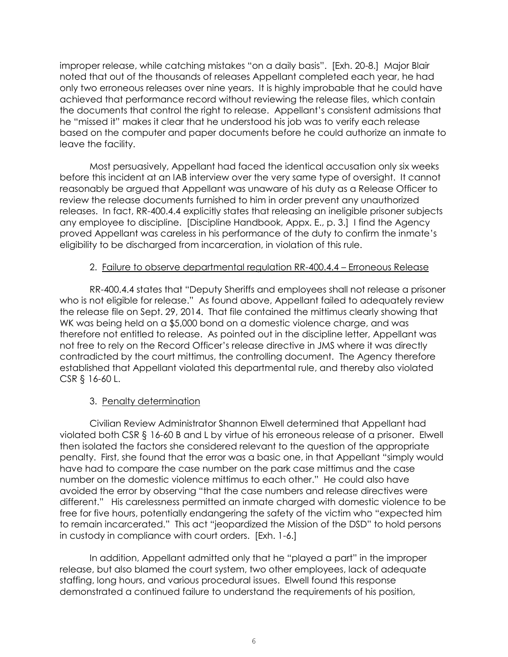improper release, while catching mistakes "on a daily basis". [Exh. 20-8.] Major Blair noted that out of the thousands of releases Appellant completed each year, he had only two erroneous releases over nine years. It is highly improbable that he could have achieved that performance record without reviewing the release files, which contain the documents that control the right to release. Appellant's consistent admissions that he "missed it" makes it clear that he understood his job was to verify each release based on the computer and paper documents before he could authorize an inmate to leave the facility.

Most persuasively, Appellant had faced the identical accusation only six weeks before this incident at an IAB interview over the very same type of oversight. It cannot reasonably be argued that Appellant was unaware of his duty as a Release Officer to review the release documents furnished to him in order prevent any unauthorized releases. In fact, RR-400.4.4 explicitly states that releasing an ineligible prisoner subjects any employee to discipline. [Discipline Handbook, Appx. E., p. 3.] I find the Agency proved Appellant was careless in his performance of the duty to confirm the inmate's eligibility to be discharged from incarceration, in violation of this rule.

## 2. Failure to observe departmental regulation RR-400.4.4 – Erroneous Release

RR-400.4.4 states that "Deputy Sheriffs and employees shall not release a prisoner who is not eligible for release." As found above, Appellant failed to adequately review the release file on Sept. 29, 2014. That file contained the mittimus clearly showing that WK was being held on a \$5,000 bond on a domestic violence charge, and was therefore not entitled to release. As pointed out in the discipline letter, Appellant was not free to rely on the Record Officer's release directive in JMS where it was directly contradicted by the court mittimus, the controlling document. The Agency therefore established that Appellant violated this departmental rule, and thereby also violated CSR § 16-60 L.

# 3. Penalty determination

Civilian Review Administrator Shannon Elwell determined that Appellant had violated both CSR § 16-60 B and L by virtue of his erroneous release of a prisoner. Elwell then isolated the factors she considered relevant to the question of the appropriate penalty. First, she found that the error was a basic one, in that Appellant "simply would have had to compare the case number on the park case mittimus and the case number on the domestic violence mittimus to each other." He could also have avoided the error by observing "that the case numbers and release directives were different." His carelessness permitted an inmate charged with domestic violence to be free for five hours, potentially endangering the safety of the victim who "expected him to remain incarcerated." This act "jeopardized the Mission of the DSD" to hold persons in custody in compliance with court orders. [Exh. 1-6.]

In addition, Appellant admitted only that he "played a part" in the improper release, but also blamed the court system, two other employees, lack of adequate staffing, long hours, and various procedural issues. Elwell found this response demonstrated a continued failure to understand the requirements of his position,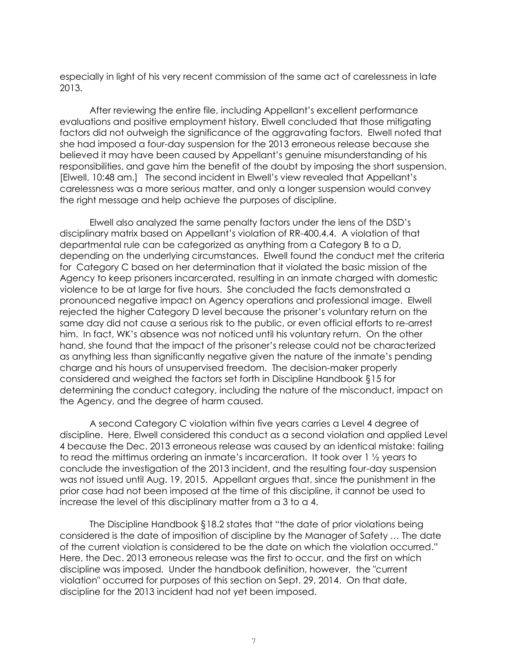especially in light of his very recent commission of the same act of carelessness in late 2013.

After reviewing the entire file, including Appellant's excellent performance evaluations and positive employment history, Elwell concluded that those mitigating factors did not outweigh the significance of the aggravating factors. Elwell noted that she had imposed a four-day suspension for the 2013 erroneous release because she believed it may have been caused by Appellant's genuine misunderstanding of his responsibilities, and gave him the benefit of the doubt by imposing the short suspension. [Elwell, 10:48 am.] The second incident in Elwell's view revealed that Appellant's carelessness was a more serious matter, and only a longer suspension would convey the right message and help achieve the purposes of discipline.

Elwell also analyzed the same penalty factors under the lens of the DSD's disciplinary matrix based on Appellant's violation of RR-400.4.4. A violation of that departmental rule can be categorized as anything from a Category B to a D, depending on the underlying circumstances. Elwell found the conduct met the criteria for Category C based on her determination that it violated the basic mission of the Agency to keep prisoners incarcerated, resulting in an inmate charged with domestic violence to be at large for five hours. She concluded the facts demonstrated a pronounced negative impact on Agency operations and professional image. Elwell rejected the higher Category D level because the prisoner's voluntary return on the same day did not cause a serious risk to the public, or even official efforts to re-arrest him. In fact, WK's absence was not noticed until his voluntary return. On the other hand, she found that the impact of the prisoner's release could not be characterized as anything less than significantly negative given the nature of the inmate's pending charge and his hours of unsupervised freedom. The decision-maker properly considered and weighed the factors set forth in Discipline Handbook §15 for determining the conduct category, including the nature of the misconduct, impact on the Agency, and the degree of harm caused.

A second Category C violation within five years carries a Level 4 degree of discipline. Here, Elwell considered this conduct as a second violation and applied Level 4 because the Dec. 2013 erroneous release was caused by an identical mistake: failing to read the mittimus ordering an inmate's incarceration. It took over 1 ½ years to conclude the investigation of the 2013 incident, and the resulting four-day suspension was not issued until Aug. 19, 2015. Appellant argues that, since the punishment in the prior case had not been imposed at the time of this discipline, it cannot be used to increase the level of this disciplinary matter from a 3 to a 4.

The Discipline Handbook §18.2 states that "the date of prior violations being considered is the date of imposition of discipline by the Manager of Safety … The date of the current violation is considered to be the date on which the violation occurred." Here, the Dec. 2013 erroneous release was the first to occur, and the first on which discipline was imposed. Under the handbook definition, however, the "current violation" occurred for purposes of this section on Sept. 29, 2014. On that date, discipline for the 2013 incident had not yet been imposed.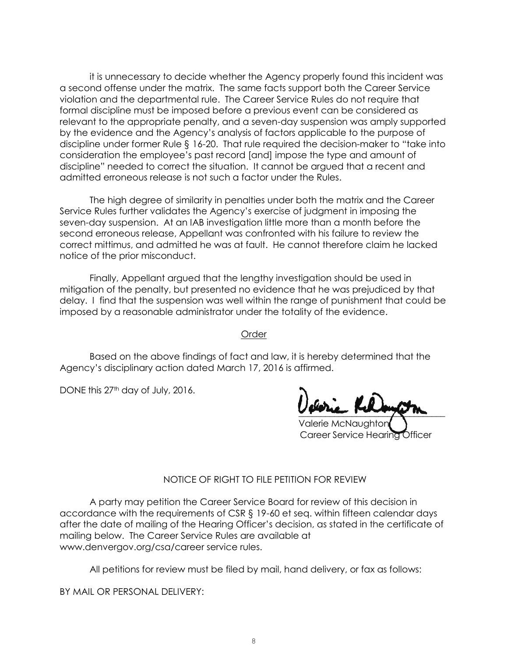it is unnecessary to decide whether the Agency properly found this incident was a second offense under the matrix. The same facts support both the Career Service violation and the departmental rule. The Career Service Rules do not require that formal discipline must be imposed before a previous event can be considered as relevant to the appropriate penalty, and a seven-day suspension was amply supported by the evidence and the Agency's analysis of factors applicable to the purpose of discipline under former Rule § 16-20. That rule required the decision-maker to "take into consideration the employee's past record [and] impose the type and amount of discipline" needed to correct the situation. It cannot be argued that a recent and admitted erroneous release is not such a factor under the Rules.

The high degree of similarity in penalties under both the matrix and the Career Service Rules further validates the Agency's exercise of judgment in imposing the seven-day suspension. At an IAB investigation little more than a month before the second erroneous release, Appellant was confronted with his failure to review the correct mittimus, and admitted he was at fault. He cannot therefore claim he lacked notice of the prior misconduct.

Finally, Appellant argued that the lengthy investigation should be used in mitigation of the penalty, but presented no evidence that he was prejudiced by that delay. I find that the suspension was well within the range of punishment that could be imposed by a reasonable administrator under the totality of the evidence.

Order

Based on the above findings of fact and law, it is hereby determined that the Agency's disciplinary action dated March 17, 2016 is affirmed.

DONE this 27<sup>th</sup> day of July, 2016.

 $\sim$   $\sim$   $\sim$   $\sim$   $\sim$ 

Valerie McNaughton Career Service Hearing Officer

#### NOTICE OF RIGHT TO FILE PETITION FOR REVIEW

A party may petition the Career Service Board for review of this decision in accordance with the requirements of CSR § 19-60 et seq. within fifteen calendar days after the date of mailing of the Hearing Officer's decision, as stated in the certificate of mailing below. The Career Service Rules are available at www.denvergov.org/csa/career service rules.

All petitions for review must be filed by mail, hand delivery, or fax as follows:

BY MAIL OR PERSONAL DELIVERY: